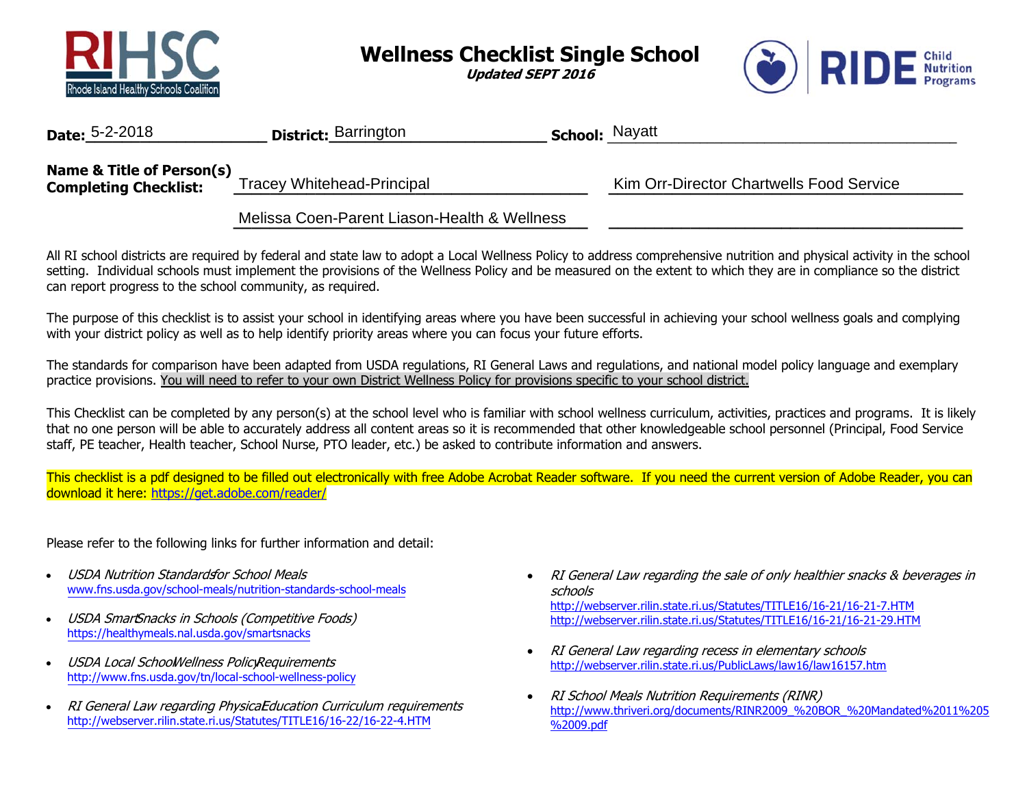

**Wellness Checklist Single School** 

**Updated SEPT 2016** 



| <b>Date:</b> 5-2-2018                                     | <b>District: Barrington</b>                  | <b>School: Nayatt</b> |                                          |
|-----------------------------------------------------------|----------------------------------------------|-----------------------|------------------------------------------|
| Name & Title of Person(s)<br><b>Completing Checklist:</b> | Tracey Whitehead-Principal                   |                       | Kim Orr-Director Chartwells Food Service |
|                                                           | Melissa Coen-Parent Liason-Health & Wellness |                       |                                          |

All RI school districts are required by federal and state law to adopt a Local Wellness Policy to address comprehensive nutrition and physical activity in the school setting. Individual schools must implement the provisions of the Wellness Policy and be measured on the extent to which they are in compliance so the district can report progress to the school community, as required.

The purpose of this checklist is to assist your school in identifying areas where you have been successful in achieving your school wellness goals and complying with your district policy as well as to help identify priority areas where you can focus your future efforts.

The standards for comparison have been adapted from USDA regulations, RI General Laws and regulations, and national model policy language and exemplary practice provisions. You will need to refer to your own District Wellness Policy for provisions specific to your school district.

This Checklist can be completed by any person(s) at the school level who is familiar with school wellness curriculum, activities, practices and programs. It is likely that no one person will be able to accurately address all content areas so it is recommended that other knowledgeable school personnel (Principal, Food Service staff, PE teacher, Health teacher, School Nurse, PTO leader, etc.) be asked to contribute information and answers.

This checklist is a pdf designed to be filled out electronically with free Adobe Acrobat Reader software. If you need the current version of Adobe Reader, you can download it here: https://get.adobe.com/reader/

Please refer to the following links for further information and detail:

- • USDA Nutrition Standardsfor School Meals www.fns.usda.gov/school-meals/nutrition-standards-school-meals
- •USDA SmartSnacks in Schools (Competitive Foods) https://healthymeals.nal.usda.gov/smartsnacks
- •USDA Local School Wellness Policy Requirements http://www.fns.usda.gov/tn/local-school-wellness-policy
- •RI General Law regarding PhysicaEducation Curriculum requirements http://webserver.rilin.state.ri.us/Statutes/TITLE16/16-22/16-22-4.HTM
- RI General Law regarding the sale of only healthier snacks & beverages in schoolshttp://webserver.rilin.state.ri.us/Statutes/TITLE16/16-21/16-21-7.HTM http://webserver.rilin.state.ri.us/Statutes/TITLE16/16-21/16-21-29.HTM
- $\bullet$  RI General Law regarding recess in elementary schools http://webserver.rilin.state.ri.us/PublicLaws/law16/law16157.htm
- $\bullet$  RI School Meals Nutrition Requirements (RINR) http://www.thriveri.org/documents/RINR2009\_%20BOR\_%20Mandated%2011%205 %2009.pdf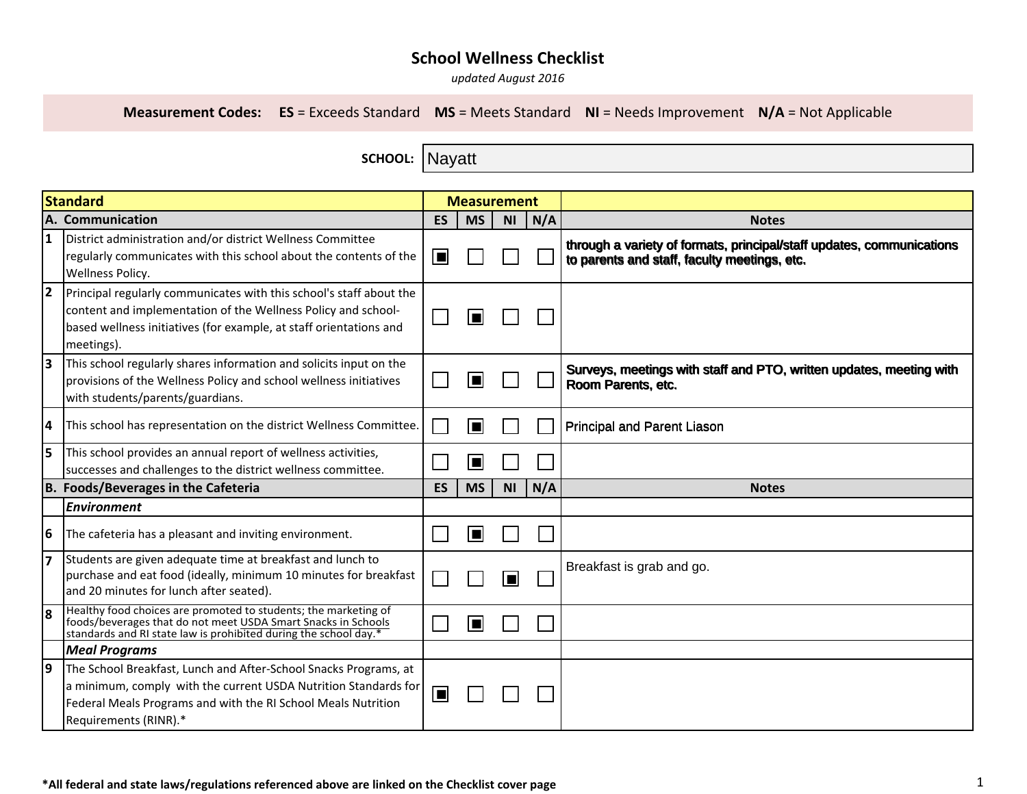*updated August 2016*

**Measurement Codes: ES** = Exceeds Standard **MS** = Meets Standard **NI** = Needs Improvement **N/A** = Not Applicable

**SCHOOL:**  Nayatt

| Standard                                   |                                                                                                                                                                                                                               |           | <b>Measurement</b> |                |     |                                                                                                                       |
|--------------------------------------------|-------------------------------------------------------------------------------------------------------------------------------------------------------------------------------------------------------------------------------|-----------|--------------------|----------------|-----|-----------------------------------------------------------------------------------------------------------------------|
|                                            | A. Communication                                                                                                                                                                                                              | <b>ES</b> | <b>MS</b>          | <b>NI</b>      | N/A | <b>Notes</b>                                                                                                          |
| 1                                          | District administration and/or district Wellness Committee<br>regularly communicates with this school about the contents of the<br><b>Wellness Policy.</b>                                                                    | $\Box$    |                    |                |     | through a variety of formats, principal/staff updates, communications<br>to parents and staff, faculty meetings, etc. |
| 2                                          | Principal regularly communicates with this school's staff about the<br>content and implementation of the Wellness Policy and school-<br>based wellness initiatives (for example, at staff orientations and<br>meetings).      |           |                    |                |     |                                                                                                                       |
| lЗ                                         | This school regularly shares information and solicits input on the<br>provisions of the Wellness Policy and school wellness initiatives<br>with students/parents/guardians.                                                   |           |                    |                |     | Surveys, meetings with staff and PTO, written updates, meeting with<br>Room Parents, etc.                             |
| 4                                          | This school has representation on the district Wellness Committee.                                                                                                                                                            |           | П                  |                |     | <b>Principal and Parent Liason</b>                                                                                    |
| l5                                         | This school provides an annual report of wellness activities,<br>successes and challenges to the district wellness committee.                                                                                                 |           | П                  |                |     |                                                                                                                       |
| <b>B. Foods/Beverages in the Cafeteria</b> |                                                                                                                                                                                                                               | <b>ES</b> | <b>MS</b>          | <b>NI</b>      | N/A | <b>Notes</b>                                                                                                          |
|                                            | <b>Environment</b>                                                                                                                                                                                                            |           |                    |                |     |                                                                                                                       |
| 6                                          | The cafeteria has a pleasant and inviting environment.                                                                                                                                                                        |           | Е                  |                |     |                                                                                                                       |
| 17                                         | Students are given adequate time at breakfast and lunch to<br>purchase and eat food (ideally, minimum 10 minutes for breakfast<br>and 20 minutes for lunch after seated).                                                     |           |                    | $\blacksquare$ |     | Breakfast is grab and go.                                                                                             |
| l8                                         | Healthy food choices are promoted to students; the marketing of<br>foods/beverages that do not meet USDA Smart Snacks in Schools<br>standards and RI state law is prohibited during the school day.*                          |           | E                  |                |     |                                                                                                                       |
|                                            | <b>Meal Programs</b>                                                                                                                                                                                                          |           |                    |                |     |                                                                                                                       |
| 19                                         | The School Breakfast, Lunch and After-School Snacks Programs, at<br>a minimum, comply with the current USDA Nutrition Standards for<br>Federal Meals Programs and with the RI School Meals Nutrition<br>Requirements (RINR).* | $\Box$    |                    |                |     |                                                                                                                       |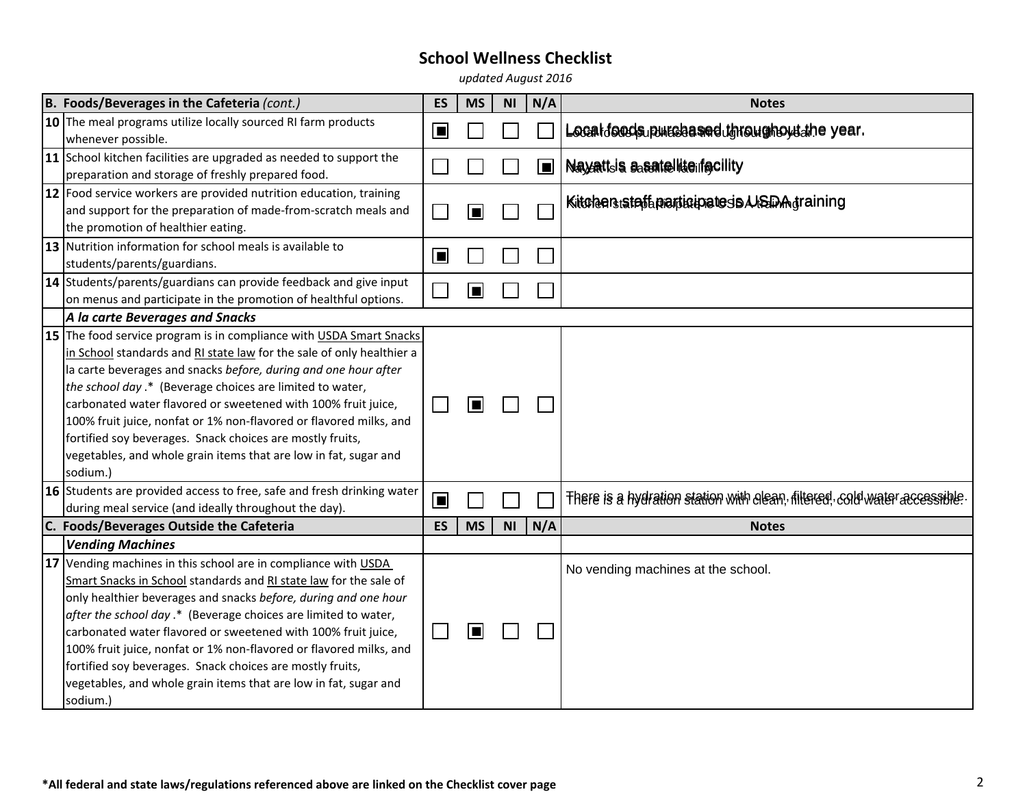*updated August 2016*

| B. Foods/Beverages in the Cafeteria (cont.)                            | ES        | <b>MS</b> | <b>NI</b> | N/A | <b>Notes</b>                                                              |
|------------------------------------------------------------------------|-----------|-----------|-----------|-----|---------------------------------------------------------------------------|
| 10 The meal programs utilize locally sourced RI farm products          | П         |           |           |     | Localdonds purchased throughout the year.                                 |
| whenever possible.                                                     |           |           |           |     |                                                                           |
| 11 School kitchen facilities are upgraded as needed to support the     |           |           |           | ▣   | Nayattsis assatellite if gcility                                          |
| preparation and storage of freshly prepared food.                      |           |           |           |     |                                                                           |
| 12 Food service workers are provided nutrition education, training     |           |           |           |     | <b>KitchenstafteparticipatespA/SDA</b> graining                           |
| and support for the preparation of made-from-scratch meals and         |           |           |           |     |                                                                           |
| the promotion of healthier eating.                                     |           |           |           |     |                                                                           |
| 13 Nutrition information for school meals is available to              | $\Box$    |           |           |     |                                                                           |
| students/parents/guardians.                                            |           |           |           |     |                                                                           |
| 14 Students/parents/guardians can provide feedback and give input      |           | E         |           |     |                                                                           |
| on menus and participate in the promotion of healthful options.        |           |           |           |     |                                                                           |
| A la carte Beverages and Snacks                                        |           |           |           |     |                                                                           |
| 15 The food service program is in compliance with USDA Smart Snacks    |           |           |           |     |                                                                           |
| in School standards and RI state law for the sale of only healthier a  |           |           |           |     |                                                                           |
| la carte beverages and snacks before, during and one hour after        |           |           |           |     |                                                                           |
| the school day .* (Beverage choices are limited to water,              |           |           |           |     |                                                                           |
| carbonated water flavored or sweetened with 100% fruit juice,          |           | Е         |           |     |                                                                           |
| 100% fruit juice, nonfat or 1% non-flavored or flavored milks, and     |           |           |           |     |                                                                           |
| fortified soy beverages. Snack choices are mostly fruits,              |           |           |           |     |                                                                           |
| vegetables, and whole grain items that are low in fat, sugar and       |           |           |           |     |                                                                           |
| sodium.)                                                               |           |           |           |     |                                                                           |
| 16 Students are provided access to free, safe and fresh drinking water | $\Box$    |           |           |     | There is a hydration station with elean, filtered, cold water accessible. |
| during meal service (and ideally throughout the day).                  |           |           |           |     |                                                                           |
| C. Foods/Beverages Outside the Cafeteria                               | <b>ES</b> | <b>MS</b> | <b>NI</b> | N/A | <b>Notes</b>                                                              |
| <b>Vending Machines</b>                                                |           |           |           |     |                                                                           |
| 17 Vending machines in this school are in compliance with USDA         |           |           |           |     | No vending machines at the school.                                        |
| Smart Snacks in School standards and RI state law for the sale of      |           |           |           |     |                                                                           |
| only healthier beverages and snacks before, during and one hour        |           |           |           |     |                                                                           |
| after the school day .* (Beverage choices are limited to water,        |           |           |           |     |                                                                           |
| carbonated water flavored or sweetened with 100% fruit juice,          |           | ı         |           |     |                                                                           |
| 100% fruit juice, nonfat or 1% non-flavored or flavored milks, and     |           |           |           |     |                                                                           |
| fortified soy beverages. Snack choices are mostly fruits,              |           |           |           |     |                                                                           |
| vegetables, and whole grain items that are low in fat, sugar and       |           |           |           |     |                                                                           |
| sodium.)                                                               |           |           |           |     |                                                                           |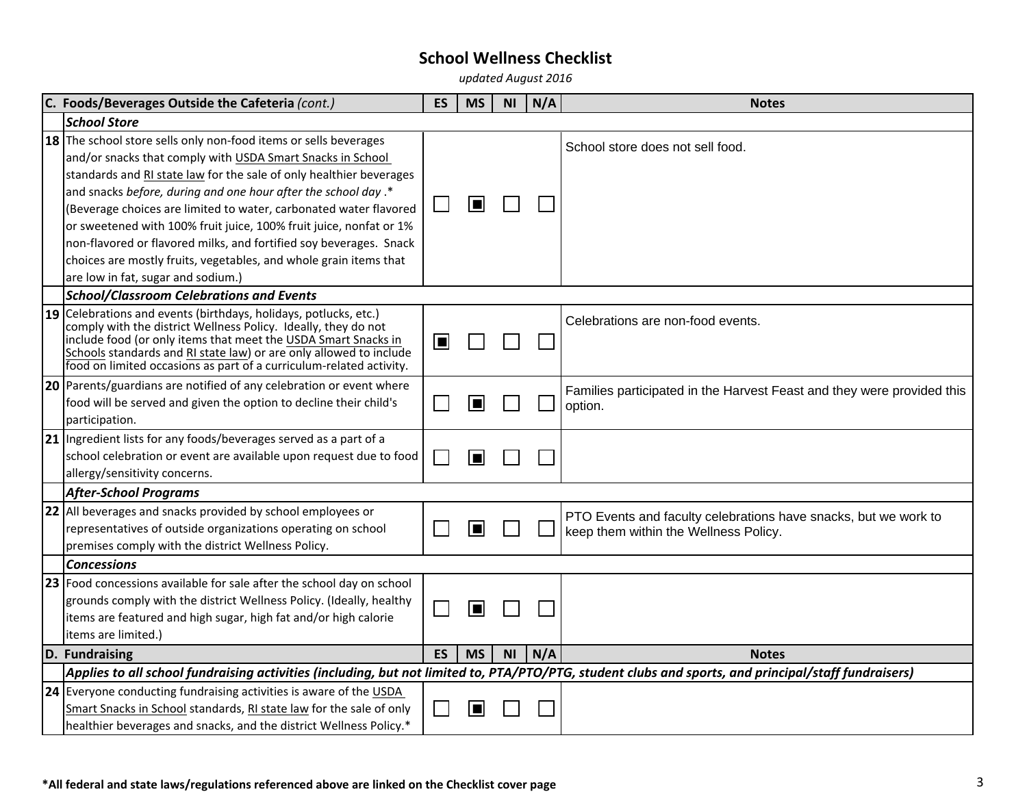*updated August 2016*

|    | C. Foods/Beverages Outside the Cafeteria (cont.)                                                                                                                                                                                                                                                                                                                                                                                                                                                                                                             | <b>ES</b> | <b>MS</b> | <b>NI</b> | N/A | <b>Notes</b>                                                                                             |
|----|--------------------------------------------------------------------------------------------------------------------------------------------------------------------------------------------------------------------------------------------------------------------------------------------------------------------------------------------------------------------------------------------------------------------------------------------------------------------------------------------------------------------------------------------------------------|-----------|-----------|-----------|-----|----------------------------------------------------------------------------------------------------------|
|    | <b>School Store</b>                                                                                                                                                                                                                                                                                                                                                                                                                                                                                                                                          |           |           |           |     |                                                                                                          |
|    | 18 The school store sells only non-food items or sells beverages<br>and/or snacks that comply with USDA Smart Snacks in School<br>standards and RI state law for the sale of only healthier beverages<br>and snacks before, during and one hour after the school day.*<br>(Beverage choices are limited to water, carbonated water flavored<br>or sweetened with 100% fruit juice, 100% fruit juice, nonfat or 1%<br>non-flavored or flavored milks, and fortified soy beverages. Snack<br>choices are mostly fruits, vegetables, and whole grain items that |           | П         |           |     | School store does not sell food.                                                                         |
|    | are low in fat, sugar and sodium.)                                                                                                                                                                                                                                                                                                                                                                                                                                                                                                                           |           |           |           |     |                                                                                                          |
|    | <b>School/Classroom Celebrations and Events</b>                                                                                                                                                                                                                                                                                                                                                                                                                                                                                                              |           |           |           |     |                                                                                                          |
|    | 19 Celebrations and events (birthdays, holidays, potlucks, etc.)<br>comply with the district Wellness Policy. Ideally, they do not<br>include food (or only items that meet the USDA Smart Snacks in<br>Schools standards and RI state law) or are only allowed to include<br>food on limited occasions as part of a curriculum-related activity.                                                                                                                                                                                                            | ⊫         |           |           |     | Celebrations are non-food events.                                                                        |
|    | 20 Parents/guardians are notified of any celebration or event where<br>food will be served and given the option to decline their child's<br>participation.                                                                                                                                                                                                                                                                                                                                                                                                   |           |           |           |     | Families participated in the Harvest Feast and they were provided this<br>option.                        |
| 21 | Ingredient lists for any foods/beverages served as a part of a<br>school celebration or event are available upon request due to food<br>allergy/sensitivity concerns.                                                                                                                                                                                                                                                                                                                                                                                        |           |           |           |     |                                                                                                          |
|    | <b>After-School Programs</b>                                                                                                                                                                                                                                                                                                                                                                                                                                                                                                                                 |           |           |           |     |                                                                                                          |
|    | 22 All beverages and snacks provided by school employees or<br>representatives of outside organizations operating on school<br>premises comply with the district Wellness Policy.                                                                                                                                                                                                                                                                                                                                                                            |           |           |           |     | PTO Events and faculty celebrations have snacks, but we work to<br>keep them within the Wellness Policy. |
|    | <b>Concessions</b>                                                                                                                                                                                                                                                                                                                                                                                                                                                                                                                                           |           |           |           |     |                                                                                                          |
|    | 23 Food concessions available for sale after the school day on school<br>grounds comply with the district Wellness Policy. (Ideally, healthy<br>items are featured and high sugar, high fat and/or high calorie<br>items are limited.)                                                                                                                                                                                                                                                                                                                       |           | П         |           |     |                                                                                                          |
|    | D. Fundraising                                                                                                                                                                                                                                                                                                                                                                                                                                                                                                                                               | <b>ES</b> | <b>MS</b> | <b>NI</b> | N/A | <b>Notes</b>                                                                                             |
|    | Applies to all school fundraising activities (including, but not limited to, PTA/PTO/PTG, student clubs and sports, and principal/staff fundraisers)                                                                                                                                                                                                                                                                                                                                                                                                         |           |           |           |     |                                                                                                          |
|    | 24 Everyone conducting fundraising activities is aware of the USDA<br>Smart Snacks in School standards, RI state law for the sale of only<br>healthier beverages and snacks, and the district Wellness Policy.*                                                                                                                                                                                                                                                                                                                                              |           |           |           |     |                                                                                                          |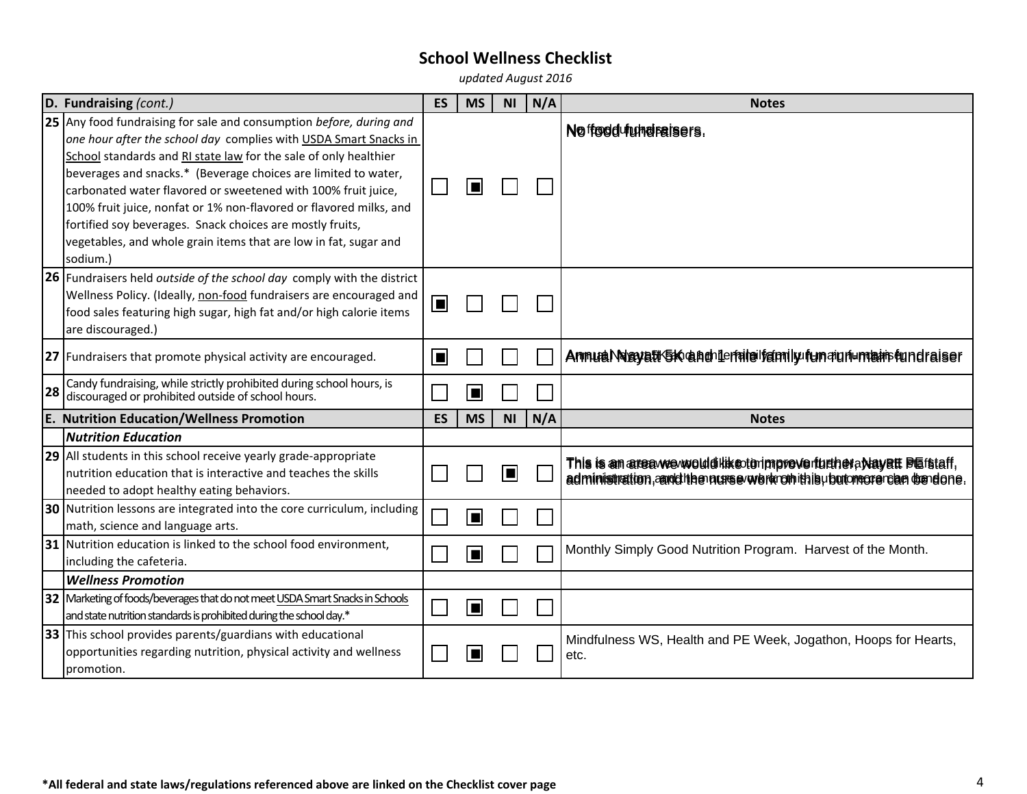*updated August 2016*

|    | D. Fundraising (cont.)                                                                                                                                                                                                                                                                                                                                                                                                                                                                                                                                            | <b>ES</b> | <b>MS</b>      | <b>NI</b> | N/A | <b>Notes</b>                                                                                                                              |
|----|-------------------------------------------------------------------------------------------------------------------------------------------------------------------------------------------------------------------------------------------------------------------------------------------------------------------------------------------------------------------------------------------------------------------------------------------------------------------------------------------------------------------------------------------------------------------|-----------|----------------|-----------|-----|-------------------------------------------------------------------------------------------------------------------------------------------|
|    | 25 Any food fundraising for sale and consumption before, during and<br>one hour after the school day complies with USDA Smart Snacks in<br>School standards and RI state law for the sale of only healthier<br>beverages and snacks.* (Beverage choices are limited to water,<br>carbonated water flavored or sweetened with 100% fruit juice,<br>100% fruit juice, nonfat or 1% non-flavored or flavored milks, and<br>fortified soy beverages. Snack choices are mostly fruits,<br>vegetables, and whole grain items that are low in fat, sugar and<br>sodium.) |           | $\blacksquare$ |           |     | No frodd <i>hyhoraisers</i> .                                                                                                             |
|    | 26 Fundraisers held outside of the school day comply with the district<br>Wellness Policy. (Ideally, non-food fundraisers are encouraged and<br>food sales featuring high sugar, high fat and/or high calorie items<br>are discouraged.)                                                                                                                                                                                                                                                                                                                          | $\Box$    |                |           |     |                                                                                                                                           |
|    | 27 Fundraisers that promote physical activity are encouraged.                                                                                                                                                                                                                                                                                                                                                                                                                                                                                                     | E         |                |           |     | AnnualNagyatK5K anchileralaifamily fun aun umah fundraiser                                                                                |
| 28 | Candy fundraising, while strictly prohibited during school hours, is<br>discouraged or prohibited outside of school hours.                                                                                                                                                                                                                                                                                                                                                                                                                                        |           | E              |           |     |                                                                                                                                           |
|    | <b>E. Nutrition Education/Wellness Promotion</b>                                                                                                                                                                                                                                                                                                                                                                                                                                                                                                                  | ES        | <b>MS</b>      | <b>NI</b> | N/A | <b>Notes</b>                                                                                                                              |
|    | <b>Nutrition Education</b>                                                                                                                                                                                                                                                                                                                                                                                                                                                                                                                                        |           |                |           |     |                                                                                                                                           |
|    | 29 All students in this school receive yearly grade-appropriate<br>nutrition education that is interactive and teaches the skills<br>needed to adopt healthy eating behaviors.                                                                                                                                                                                                                                                                                                                                                                                    |           |                | П         |     | This is an area we would like to impreve further a Nayett Blafstaff,<br>administration, and the nurse work on this upor more can be done. |
|    | 30 Nutrition lessons are integrated into the core curriculum, including<br>math, science and language arts.                                                                                                                                                                                                                                                                                                                                                                                                                                                       |           | Е              |           |     |                                                                                                                                           |
|    | 31 Nutrition education is linked to the school food environment,<br>including the cafeteria.                                                                                                                                                                                                                                                                                                                                                                                                                                                                      |           |                |           |     | Monthly Simply Good Nutrition Program. Harvest of the Month.                                                                              |
|    | <b>Wellness Promotion</b>                                                                                                                                                                                                                                                                                                                                                                                                                                                                                                                                         |           |                |           |     |                                                                                                                                           |
|    | 32   Marketing of foods/beverages that do not meet USDA Smart Snacks in Schools<br>and state nutrition standards is prohibited during the school day.*                                                                                                                                                                                                                                                                                                                                                                                                            |           | ▐▉             |           |     |                                                                                                                                           |
|    | 33 This school provides parents/guardians with educational<br>opportunities regarding nutrition, physical activity and wellness<br>promotion.                                                                                                                                                                                                                                                                                                                                                                                                                     |           |                |           |     | Mindfulness WS, Health and PE Week, Jogathon, Hoops for Hearts,<br>etc.                                                                   |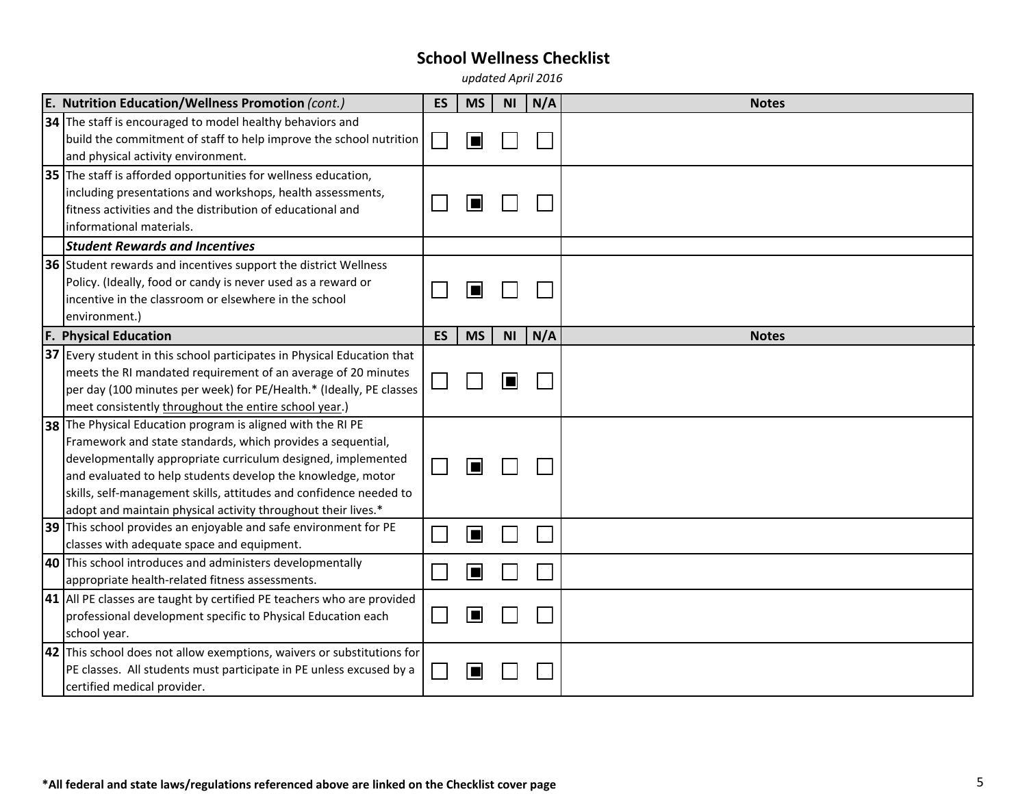*updated April 2016*

| E. Nutrition Education/Wellness Promotion (cont.)                                                                                                                                                                                                                                                                                           | <b>ES</b> | <b>MS</b> | <b>NI</b> | N/A | <b>Notes</b> |
|---------------------------------------------------------------------------------------------------------------------------------------------------------------------------------------------------------------------------------------------------------------------------------------------------------------------------------------------|-----------|-----------|-----------|-----|--------------|
| 34 The staff is encouraged to model healthy behaviors and<br>build the commitment of staff to help improve the school nutrition<br>and physical activity environment.                                                                                                                                                                       |           |           |           |     |              |
| 35 The staff is afforded opportunities for wellness education,<br>including presentations and workshops, health assessments,<br>fitness activities and the distribution of educational and<br>informational materials.                                                                                                                      |           |           |           |     |              |
| <b>Student Rewards and Incentives</b>                                                                                                                                                                                                                                                                                                       |           |           |           |     |              |
| 36 Student rewards and incentives support the district Wellness<br>Policy. (Ideally, food or candy is never used as a reward or<br>incentive in the classroom or elsewhere in the school<br>environment.)                                                                                                                                   |           |           |           |     |              |
| <b>F. Physical Education</b>                                                                                                                                                                                                                                                                                                                | <b>ES</b> | <b>MS</b> | <b>NI</b> | N/A | <b>Notes</b> |
| $ 37 $ Every student in this school participates in Physical Education that<br>meets the RI mandated requirement of an average of 20 minutes<br>per day (100 minutes per week) for PE/Health.* (Ideally, PE classes<br>meet consistently throughout the entire school year.)<br>38 The Physical Education program is aligned with the RI PE |           |           | E         |     |              |
| Framework and state standards, which provides a sequential,<br>developmentally appropriate curriculum designed, implemented<br>and evaluated to help students develop the knowledge, motor<br>skills, self-management skills, attitudes and confidence needed to<br>adopt and maintain physical activity throughout their lives.*           |           |           |           |     |              |
| 39 This school provides an enjoyable and safe environment for PE<br>classes with adequate space and equipment.                                                                                                                                                                                                                              |           |           |           |     |              |
| 40 This school introduces and administers developmentally<br>appropriate health-related fitness assessments.                                                                                                                                                                                                                                |           |           |           |     |              |
| 41 All PE classes are taught by certified PE teachers who are provided<br>professional development specific to Physical Education each<br>school year.                                                                                                                                                                                      |           |           |           |     |              |
| 42 This school does not allow exemptions, waivers or substitutions for<br>PE classes. All students must participate in PE unless excused by a<br>certified medical provider.                                                                                                                                                                |           |           |           |     |              |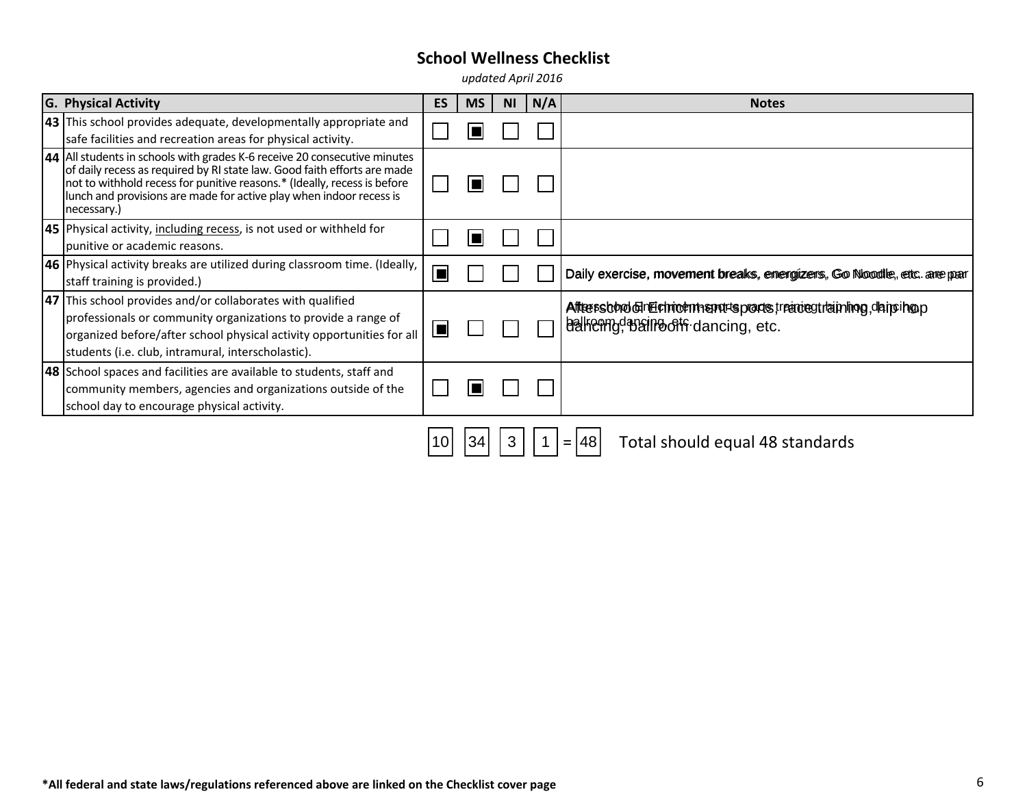*updated April 2016*

| <b>G. Physical Activity</b>                                                                                                                                                                                                                                                                                             | <b>ES</b> | <b>MS</b> | <b>NI</b> | N/A | <b>Notes</b>                                                                                     |
|-------------------------------------------------------------------------------------------------------------------------------------------------------------------------------------------------------------------------------------------------------------------------------------------------------------------------|-----------|-----------|-----------|-----|--------------------------------------------------------------------------------------------------|
| 43 This school provides adequate, developmentally appropriate and<br>safe facilities and recreation areas for physical activity.                                                                                                                                                                                        |           |           |           |     |                                                                                                  |
| 44 All students in schools with grades K-6 receive 20 consecutive minutes<br>of daily recess as required by RI state law. Good faith efforts are made<br>not to withhold recess for punitive reasons.* (Ideally, recess is before<br>lunch and provisions are made for active play when indoor recess is<br>necessary.) |           |           |           |     |                                                                                                  |
| <b>45</b> Physical activity, including recess, is not used or withheld for<br>punitive or academic reasons.                                                                                                                                                                                                             |           |           |           |     |                                                                                                  |
| 46 Physical activity breaks are utilized during classroom time. (Ideally,<br>staff training is provided.)                                                                                                                                                                                                               | ■         |           |           |     | Daily exercise, movement breaks, energizers, Go Noodle, etc. are par                             |
| 47 This school provides and/or collaborates with qualified<br>professionals or community organizations to provide a range of<br>organized before/after school physical activity opportunities for all<br>students (i.e. club, intramural, interscholastic).                                                             | ■         |           |           |     | Aftersbood dimechnomic marksports, reaceour aiming, daip hop<br>belkenng bein both dancing, etc. |
| <b>48</b> School spaces and facilities are available to students, staff and<br>community members, agencies and organizations outside of the<br>school day to encourage physical activity.                                                                                                                               |           |           |           |     |                                                                                                  |
|                                                                                                                                                                                                                                                                                                                         | 10        | 34        | 3         |     | Total should equal 48 standards<br> 48 <br>$=$                                                   |